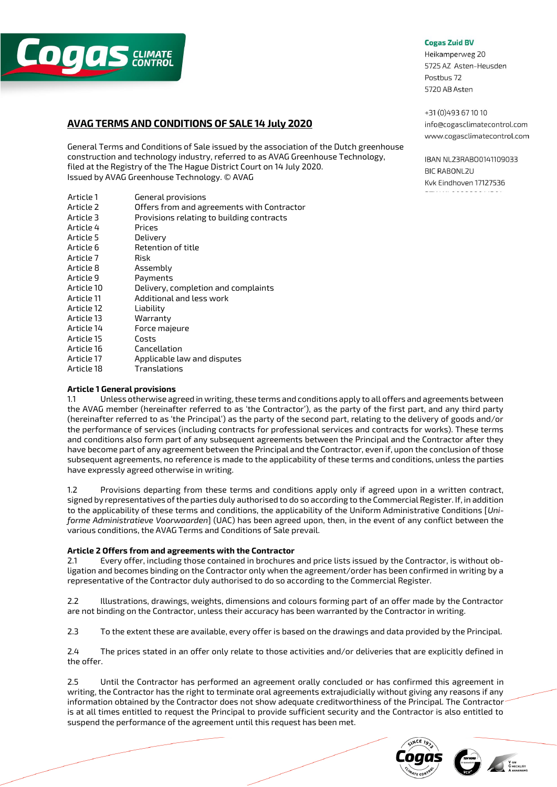

# **AVAG TERMS AND CONDITIONS OF SALE 14 July 2020**

General Terms and Conditions of Sale issued by the association of the Dutch greenhouse construction and technology industry, referred to as AVAG Greenhouse Technology, filed at the Registry of the The Hague District Court on 14 July 2020. Issued by AVAG Greenhouse Technology. © AVAG

| Article 1  | General provisions                         |
|------------|--------------------------------------------|
| Article 2  | Offers from and agreements with Contractor |
| Article 3  | Provisions relating to building contracts  |
| Article 4  | Prices                                     |
| Article 5  | Delivery                                   |
| Article 6  | Retention of title                         |
| Article 7  | Risk                                       |
| Article 8  | Assemblv                                   |
| Article 9  | Payments                                   |
| Article 10 | Delivery, completion and complaints        |
| Article 11 | Additional and less work                   |
| Article 12 | Liability                                  |
| Article 13 | Warrantv                                   |
| Article 14 | Force majeure                              |
| Article 15 | Costs                                      |
| Article 16 | Cancellation                               |
| Article 17 | Applicable law and disputes                |
| Article 18 | Translations                               |
|            |                                            |

#### **Cogas Zuid BV**

Heikamperweg 20 5725 AZ Asten-Heusden Postbus 72 5720 AB Asten

+31 (0) 493 67 10 10 info@cogasclimatecontrol.com www.cogasclimatecontrol.com

IBAN NL23RAB00141109033 **BIC RABONL2U** Kvk Eindhoven 17127536

# **Article 1 General provisions**

1.1 Unless otherwise agreed in writing, these terms and conditions apply to all offers and agreements between the AVAG member (hereinafter referred to as 'the Contractor'), as the party of the first part, and any third party (hereinafter referred to as 'the Principal') as the party of the second part, relating to the delivery of goods and/or the performance of services (including contracts for professional services and contracts for works). These terms and conditions also form part of any subsequent agreements between the Principal and the Contractor after they have become part of any agreement between the Principal and the Contractor, even if, upon the conclusion of those subsequent agreements, no reference is made to the applicability of these terms and conditions, unless the parties have expressly agreed otherwise in writing.

1.2 Provisions departing from these terms and conditions apply only if agreed upon in a written contract, signed by representatives of the parties duly authorised to do so according to the Commercial Register. If, in addition to the applicability of these terms and conditions, the applicability of the Uniform Administrative Conditions [*Uniforme Administratieve Voorwaarden*] (UAC) has been agreed upon, then, in the event of any conflict between the various conditions, the AVAG Terms and Conditions of Sale prevail.

# **Article 2 Offers from and agreements with the Contractor**

2.1 Every offer, including those contained in brochures and price lists issued by the Contractor, is without obligation and becomes binding on the Contractor only when the agreement/order has been confirmed in writing by a representative of the Contractor duly authorised to do so according to the Commercial Register.

2.2 Illustrations, drawings, weights, dimensions and colours forming part of an offer made by the Contractor are not binding on the Contractor, unless their accuracy has been warranted by the Contractor in writing.

2.3 To the extent these are available, every offer is based on the drawings and data provided by the Principal.

2.4 The prices stated in an offer only relate to those activities and/or deliveries that are explicitly defined in the offer.

2.5 Until the Contractor has performed an agreement orally concluded or has confirmed this agreement in writing, the Contractor has the right to terminate oral agreements extrajudicially without giving any reasons if any information obtained by the Contractor does not show adequate creditworthiness of the Principal. The Contractor is at all times entitled to request the Principal to provide sufficient security and the Contractor is also entitled to suspend the performance of the agreement until this request has been met.

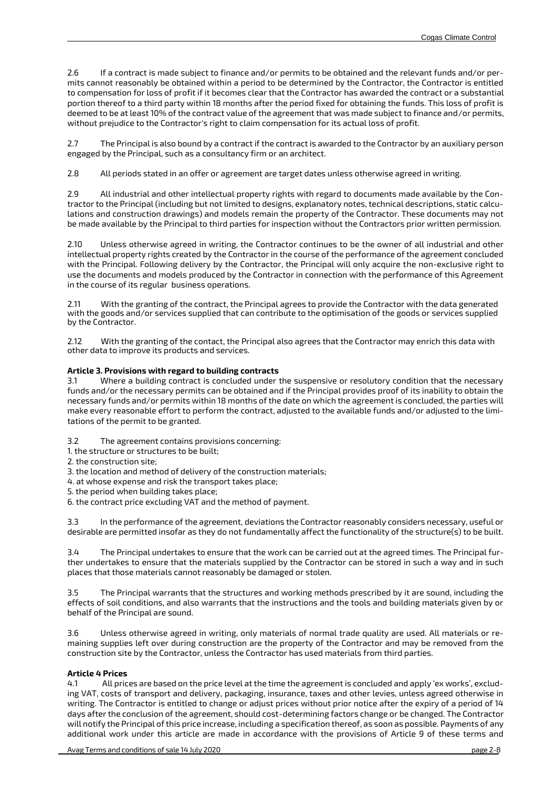2.6 If a contract is made subject to finance and/or permits to be obtained and the relevant funds and/or permits cannot reasonably be obtained within a period to be determined by the Contractor, the Contractor is entitled to compensation for loss of profit if it becomes clear that the Contractor has awarded the contract or a substantial portion thereof to a third party within 18 months after the period fixed for obtaining the funds. This loss of profit is deemed to be at least 10% of the contract value of the agreement that was made subject to finance and/or permits, without prejudice to the Contractor's right to claim compensation for its actual loss of profit.

2.7 The Principal is also bound by a contract if the contract is awarded to the Contractor by an auxiliary person engaged by the Principal, such as a consultancy firm or an architect.

2.8 All periods stated in an offer or agreement are target dates unless otherwise agreed in writing.

2.9 All industrial and other intellectual property rights with regard to documents made available by the Contractor to the Principal (including but not limited to designs, explanatory notes, technical descriptions, static calculations and construction drawings) and models remain the property of the Contractor. These documents may not be made available by the Principal to third parties for inspection without the Contractors prior written permission.

2.10 Unless otherwise agreed in writing, the Contractor continues to be the owner of all industrial and other intellectual property rights created by the Contractor in the course of the performance of the agreement concluded with the Principal. Following delivery by the Contractor, the Principal will only acquire the non-exclusive right to use the documents and models produced by the Contractor in connection with the performance of this Agreement in the course of its regular business operations.

2.11 With the granting of the contract, the Principal agrees to provide the Contractor with the data generated with the goods and/or services supplied that can contribute to the optimisation of the goods or services supplied by the Contractor.

2.12 With the granting of the contact, the Principal also agrees that the Contractor may enrich this data with other data to improve its products and services.

## **Article 3. Provisions with regard to building contracts**

3.1 Where a building contract is concluded under the suspensive or resolutory condition that the necessary funds and/or the necessary permits can be obtained and if the Principal provides proof of its inability to obtain the necessary funds and/or permits within 18 months of the date on which the agreement is concluded, the parties will make every reasonable effort to perform the contract, adjusted to the available funds and/or adjusted to the limitations of the permit to be granted.

3.2 The agreement contains provisions concerning:

1. the structure or structures to be built;

2. the construction site;

3. the location and method of delivery of the construction materials;

4. at whose expense and risk the transport takes place;

5. the period when building takes place;

6. the contract price excluding VAT and the method of payment.

3.3 In the performance of the agreement, deviations the Contractor reasonably considers necessary, useful or desirable are permitted insofar as they do not fundamentally affect the functionality of the structure(s) to be built.

3.4 The Principal undertakes to ensure that the work can be carried out at the agreed times. The Principal further undertakes to ensure that the materials supplied by the Contractor can be stored in such a way and in such places that those materials cannot reasonably be damaged or stolen.

3.5 The Principal warrants that the structures and working methods prescribed by it are sound, including the effects of soil conditions, and also warrants that the instructions and the tools and building materials given by or behalf of the Principal are sound.

3.6 Unless otherwise agreed in writing, only materials of normal trade quality are used. All materials or remaining supplies left over during construction are the property of the Contractor and may be removed from the construction site by the Contractor, unless the Contractor has used materials from third parties.

# **Article 4 Prices**

4.1 All prices are based on the price level at the time the agreement is concluded and apply 'ex works', excluding VAT, costs of transport and delivery, packaging, insurance, taxes and other levies, unless agreed otherwise in writing. The Contractor is entitled to change or adjust prices without prior notice after the expiry of a period of 14 days after the conclusion of the agreement, should cost-determining factors change or be changed. The Contractor will notify the Principal of this price increase, including a specification thereof, as soon as possible. Payments of any additional work under this article are made in accordance with the provisions of Article 9 of these terms and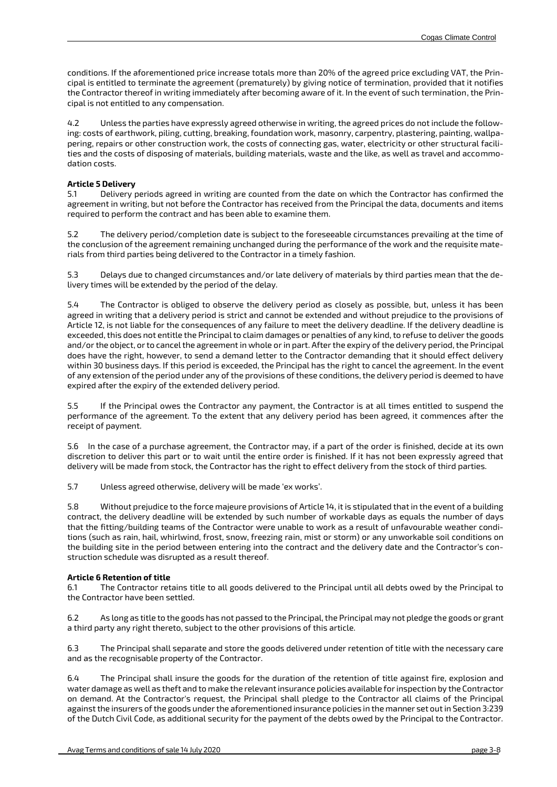conditions. If the aforementioned price increase totals more than 20% of the agreed price excluding VAT, the Principal is entitled to terminate the agreement (prematurely) by giving notice of termination, provided that it notifies the Contractor thereof in writing immediately after becoming aware of it. In the event of such termination, the Principal is not entitled to any compensation.

4.2 Unless the parties have expressly agreed otherwise in writing, the agreed prices do not include the following: costs of earthwork, piling, cutting, breaking, foundation work, masonry, carpentry, plastering, painting, wallpapering, repairs or other construction work, the costs of connecting gas, water, electricity or other structural facilities and the costs of disposing of materials, building materials, waste and the like, as well as travel and accommodation costs.

# **Article 5 Delivery**

5.1 Delivery periods agreed in writing are counted from the date on which the Contractor has confirmed the agreement in writing, but not before the Contractor has received from the Principal the data, documents and items required to perform the contract and has been able to examine them.

5.2 The delivery period/completion date is subject to the foreseeable circumstances prevailing at the time of the conclusion of the agreement remaining unchanged during the performance of the work and the requisite materials from third parties being delivered to the Contractor in a timely fashion.

5.3 Delays due to changed circumstances and/or late delivery of materials by third parties mean that the delivery times will be extended by the period of the delay.

5.4 The Contractor is obliged to observe the delivery period as closely as possible, but, unless it has been agreed in writing that a delivery period is strict and cannot be extended and without prejudice to the provisions of Article 12, is not liable for the consequences of any failure to meet the delivery deadline. If the delivery deadline is exceeded, this does not entitle the Principal to claim damages or penalties of any kind, to refuse to deliver the goods and/or the object, or to cancel the agreement in whole or in part. After the expiry of the delivery period, the Principal does have the right, however, to send a demand letter to the Contractor demanding that it should effect delivery within 30 business days. If this period is exceeded, the Principal has the right to cancel the agreement. In the event of any extension of the period under any of the provisions of these conditions, the delivery period is deemed to have expired after the expiry of the extended delivery period.

5.5 If the Principal owes the Contractor any payment, the Contractor is at all times entitled to suspend the performance of the agreement. To the extent that any delivery period has been agreed, it commences after the receipt of payment.

5.6 In the case of a purchase agreement, the Contractor may, if a part of the order is finished, decide at its own discretion to deliver this part or to wait until the entire order is finished. If it has not been expressly agreed that delivery will be made from stock, the Contractor has the right to effect delivery from the stock of third parties.

5.7 Unless agreed otherwise, delivery will be made 'ex works'.

5.8 Without prejudice to the force majeure provisions of Article 14, it is stipulated that in the event of a building contract, the delivery deadline will be extended by such number of workable days as equals the number of days that the fitting/building teams of the Contractor were unable to work as a result of unfavourable weather conditions (such as rain, hail, whirlwind, frost, snow, freezing rain, mist or storm) or any unworkable soil conditions on the building site in the period between entering into the contract and the delivery date and the Contractor's construction schedule was disrupted as a result thereof.

### **Article 6 Retention of title**

6.1 The Contractor retains title to all goods delivered to the Principal until all debts owed by the Principal to the Contractor have been settled.

6.2 As long as title to the goods has not passed to the Principal, the Principal may not pledge the goods or grant a third party any right thereto, subject to the other provisions of this article.

6.3 The Principal shall separate and store the goods delivered under retention of title with the necessary care and as the recognisable property of the Contractor.

6.4 The Principal shall insure the goods for the duration of the retention of title against fire, explosion and water damage as well as theft and to make the relevant insurance policies available for inspection by the Contractor on demand. At the Contractor's request, the Principal shall pledge to the Contractor all claims of the Principal against the insurers of the goods under the aforementioned insurance policies in the manner set out in Section 3:239 of the Dutch Civil Code, as additional security for the payment of the debts owed by the Principal to the Contractor.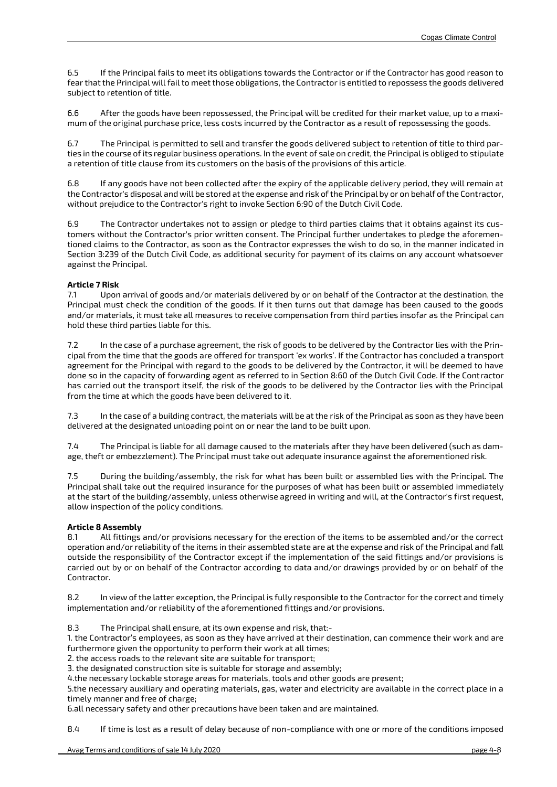6.5 If the Principal fails to meet its obligations towards the Contractor or if the Contractor has good reason to fear that the Principal will fail to meet those obligations, the Contractor is entitled to repossess the goods delivered subject to retention of title.

6.6 After the goods have been repossessed, the Principal will be credited for their market value, up to a maximum of the original purchase price, less costs incurred by the Contractor as a result of repossessing the goods.

6.7 The Principal is permitted to sell and transfer the goods delivered subject to retention of title to third parties in the course of its regular business operations. In the event of sale on credit, the Principal is obliged to stipulate a retention of title clause from its customers on the basis of the provisions of this article.

6.8 If any goods have not been collected after the expiry of the applicable delivery period, they will remain at the Contractor's disposal and will be stored at the expense and risk of the Principal by or on behalf of the Contractor, without prejudice to the Contractor's right to invoke Section 6:90 of the Dutch Civil Code.

6.9 The Contractor undertakes not to assign or pledge to third parties claims that it obtains against its customers without the Contractor's prior written consent. The Principal further undertakes to pledge the aforementioned claims to the Contractor, as soon as the Contractor expresses the wish to do so, in the manner indicated in Section 3:239 of the Dutch Civil Code, as additional security for payment of its claims on any account whatsoever against the Principal.

## **Article 7 Risk**

7.1 Upon arrival of goods and/or materials delivered by or on behalf of the Contractor at the destination, the Principal must check the condition of the goods. If it then turns out that damage has been caused to the goods and/or materials, it must take all measures to receive compensation from third parties insofar as the Principal can hold these third parties liable for this.

7.2 In the case of a purchase agreement, the risk of goods to be delivered by the Contractor lies with the Principal from the time that the goods are offered for transport 'ex works'. If the Contractor has concluded a transport agreement for the Principal with regard to the goods to be delivered by the Contractor, it will be deemed to have done so in the capacity of forwarding agent as referred to in Section 8:60 of the Dutch Civil Code. If the Contractor has carried out the transport itself, the risk of the goods to be delivered by the Contractor lies with the Principal from the time at which the goods have been delivered to it.

7.3 In the case of a building contract, the materials will be at the risk of the Principal as soon as they have been delivered at the designated unloading point on or near the land to be built upon.

7.4 The Principal is liable for all damage caused to the materials after they have been delivered (such as damage, theft or embezzlement). The Principal must take out adequate insurance against the aforementioned risk.

7.5 During the building/assembly, the risk for what has been built or assembled lies with the Principal. The Principal shall take out the required insurance for the purposes of what has been built or assembled immediately at the start of the building/assembly, unless otherwise agreed in writing and will, at the Contractor's first request, allow inspection of the policy conditions.

# **Article 8 Assembly**

8.1 All fittings and/or provisions necessary for the erection of the items to be assembled and/or the correct operation and/or reliability of the items in their assembled state are at the expense and risk of the Principal and fall outside the responsibility of the Contractor except if the implementation of the said fittings and/or provisions is carried out by or on behalf of the Contractor according to data and/or drawings provided by or on behalf of the Contractor.

8.2 In view of the latter exception, the Principal is fully responsible to the Contractor for the correct and timely implementation and/or reliability of the aforementioned fittings and/or provisions.

8.3 The Principal shall ensure, at its own expense and risk, that:-

1. the Contractor's employees, as soon as they have arrived at their destination, can commence their work and are furthermore given the opportunity to perform their work at all times;

2. the access roads to the relevant site are suitable for transport;

3. the designated construction site is suitable for storage and assembly;

4.the necessary lockable storage areas for materials, tools and other goods are present;

5.the necessary auxiliary and operating materials, gas, water and electricity are available in the correct place in a timely manner and free of charge;

6.all necessary safety and other precautions have been taken and are maintained.

8.4 If time is lost as a result of delay because of non-compliance with one or more of the conditions imposed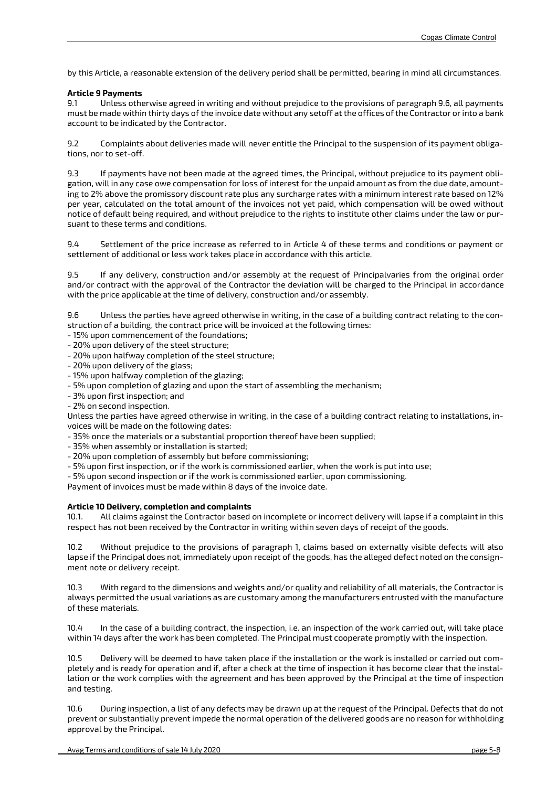by this Article, a reasonable extension of the delivery period shall be permitted, bearing in mind all circumstances.

### **Article 9 Payments**

9.1 Unless otherwise agreed in writing and without prejudice to the provisions of paragraph 9.6, all payments must be made within thirty days of the invoice date without any setoff at the offices of the Contractor or into a bank account to be indicated by the Contractor.

9.2 Complaints about deliveries made will never entitle the Principal to the suspension of its payment obligations, nor to set-off.

9.3 If payments have not been made at the agreed times, the Principal, without prejudice to its payment obligation, will in any case owe compensation for loss of interest for the unpaid amount as from the due date, amounting to 2% above the promissory discount rate plus any surcharge rates with a minimum interest rate based on 12% per year, calculated on the total amount of the invoices not yet paid, which compensation will be owed without notice of default being required, and without prejudice to the rights to institute other claims under the law or pursuant to these terms and conditions.

9.4 Settlement of the price increase as referred to in Article 4 of these terms and conditions or payment or settlement of additional or less work takes place in accordance with this article.

9.5 If any delivery, construction and/or assembly at the request of Principalvaries from the original order and/or contract with the approval of the Contractor the deviation will be charged to the Principal in accordance with the price applicable at the time of delivery, construction and/or assembly.

9.6 Unless the parties have agreed otherwise in writing, in the case of a building contract relating to the construction of a building, the contract price will be invoiced at the following times:

- 15% upon commencement of the foundations;
- 20% upon delivery of the steel structure;
- 20% upon halfway completion of the steel structure;
- 20% upon delivery of the glass;
- 15% upon halfway completion of the glazing;
- 5% upon completion of glazing and upon the start of assembling the mechanism;
- 3% upon first inspection; and
- 2% on second inspection.

Unless the parties have agreed otherwise in writing, in the case of a building contract relating to installations, invoices will be made on the following dates:

- 35% once the materials or a substantial proportion thereof have been supplied;

- 35% when assembly or installation is started;
- 20% upon completion of assembly but before commissioning;
- 5% upon first inspection, or if the work is commissioned earlier, when the work is put into use;

- 5% upon second inspection or if the work is commissioned earlier, upon commissioning.

Payment of invoices must be made within 8 days of the invoice date.

### **Article 10 Delivery, completion and complaints**

10.1. All claims against the Contractor based on incomplete or incorrect delivery will lapse if a complaint in this respect has not been received by the Contractor in writing within seven days of receipt of the goods.

10.2 Without prejudice to the provisions of paragraph 1, claims based on externally visible defects will also lapse if the Principal does not, immediately upon receipt of the goods, has the alleged defect noted on the consignment note or delivery receipt.

10.3 With regard to the dimensions and weights and/or quality and reliability of all materials, the Contractor is always permitted the usual variations as are customary among the manufacturers entrusted with the manufacture of these materials.

10.4 In the case of a building contract, the inspection, i.e. an inspection of the work carried out, will take place within 14 days after the work has been completed. The Principal must cooperate promptly with the inspection.

10.5 Delivery will be deemed to have taken place if the installation or the work is installed or carried out completely and is ready for operation and if, after a check at the time of inspection it has become clear that the installation or the work complies with the agreement and has been approved by the Principal at the time of inspection and testing.

10.6 During inspection, a list of any defects may be drawn up at the request of the Principal. Defects that do not prevent or substantially prevent impede the normal operation of the delivered goods are no reason for withholding approval by the Principal.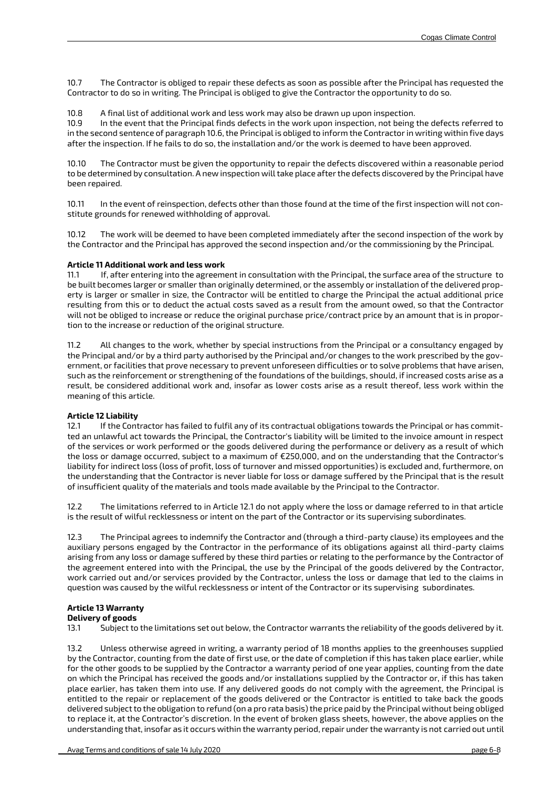10.7 The Contractor is obliged to repair these defects as soon as possible after the Principal has requested the Contractor to do so in writing. The Principal is obliged to give the Contractor the opportunity to do so.

#### 10.8 A final list of additional work and less work may also be drawn up upon inspection.

10.9 In the event that the Principal finds defects in the work upon inspection, not being the defects referred to in the second sentence of paragraph 10.6, the Principal is obliged to inform the Contractor in writing within five days after the inspection. If he fails to do so, the installation and/or the work is deemed to have been approved.

10.10 The Contractor must be given the opportunity to repair the defects discovered within a reasonable period to be determined by consultation. A new inspection will take place after the defects discovered by the Principal have been repaired.

10.11 In the event of reinspection, defects other than those found at the time of the first inspection will not constitute grounds for renewed withholding of approval.

10.12 The work will be deemed to have been completed immediately after the second inspection of the work by the Contractor and the Principal has approved the second inspection and/or the commissioning by the Principal.

#### **Article 11 Additional work and less work**

11.1 If, after entering into the agreement in consultation with the Principal, the surface area of the structure to be built becomes larger or smaller than originally determined, or the assembly or installation of the delivered property is larger or smaller in size, the Contractor will be entitled to charge the Principal the actual additional price resulting from this or to deduct the actual costs saved as a result from the amount owed, so that the Contractor will not be obliged to increase or reduce the original purchase price/contract price by an amount that is in proportion to the increase or reduction of the original structure.

11.2 All changes to the work, whether by special instructions from the Principal or a consultancy engaged by the Principal and/or by a third party authorised by the Principal and/or changes to the work prescribed by the government, or facilities that prove necessary to prevent unforeseen difficulties or to solve problems that have arisen, such as the reinforcement or strengthening of the foundations of the buildings, should, if increased costs arise as a result, be considered additional work and, insofar as lower costs arise as a result thereof, less work within the meaning of this article.

### **Article 12 Liability**

12.1 If the Contractor has failed to fulfil any of its contractual obligations towards the Principal or has committed an unlawful act towards the Principal, the Contractor's liability will be limited to the invoice amount in respect of the services or work performed or the goods delivered during the performance or delivery as a result of which the loss or damage occurred, subject to a maximum of €250,000, and on the understanding that the Contractor's liability for indirect loss (loss of profit, loss of turnover and missed opportunities) is excluded and, furthermore, on the understanding that the Contractor is never liable for loss or damage suffered by the Principal that is the result of insufficient quality of the materials and tools made available by the Principal to the Contractor.

12.2 The limitations referred to in Article 12.1 do not apply where the loss or damage referred to in that article is the result of wilful recklessness or intent on the part of the Contractor or its supervising subordinates.

12.3 The Principal agrees to indemnify the Contractor and (through a third-party clause) its employees and the auxiliary persons engaged by the Contractor in the performance of its obligations against all third-party claims arising from any loss or damage suffered by these third parties or relating to the performance by the Contractor of the agreement entered into with the Principal, the use by the Principal of the goods delivered by the Contractor, work carried out and/or services provided by the Contractor, unless the loss or damage that led to the claims in question was caused by the wilful recklessness or intent of the Contractor or its supervising subordinates.

# **Article 13 Warranty**

### **Delivery of goods**

13.1 Subject to the limitations set out below, the Contractor warrants the reliability of the goods delivered by it.

13.2 Unless otherwise agreed in writing, a warranty period of 18 months applies to the greenhouses supplied by the Contractor, counting from the date of first use, or the date of completion if this has taken place earlier, while for the other goods to be supplied by the Contractor a warranty period of one year applies, counting from the date on which the Principal has received the goods and/or installations supplied by the Contractor or, if this has taken place earlier, has taken them into use. If any delivered goods do not comply with the agreement, the Principal is entitled to the repair or replacement of the goods delivered or the Contractor is entitled to take back the goods delivered subject to the obligation to refund (on a pro rata basis) the price paid by the Principal without being obliged to replace it, at the Contractor's discretion. In the event of broken glass sheets, however, the above applies on the understanding that, insofar as it occurs within the warranty period, repair under the warranty is not carried out until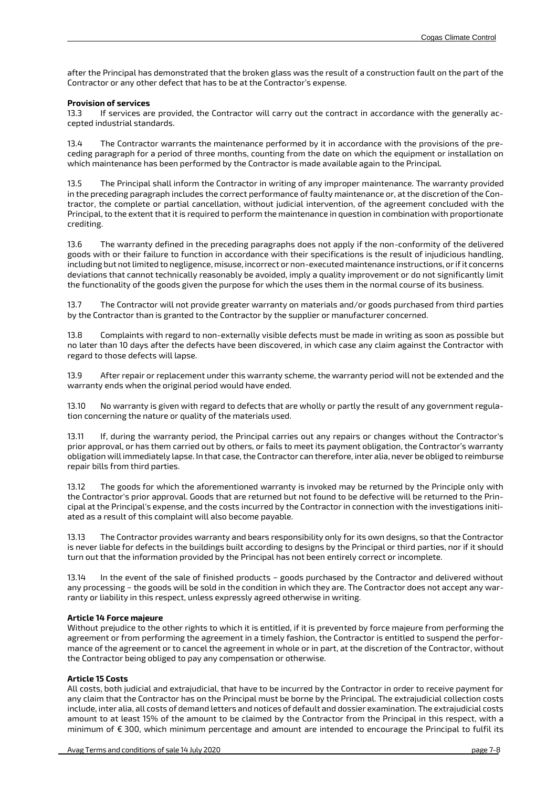after the Principal has demonstrated that the broken glass was the result of a construction fault on the part of the Contractor or any other defect that has to be at the Contractor's expense.

#### **Provision of services**

13.3 If services are provided, the Contractor will carry out the contract in accordance with the generally accepted industrial standards.

13.4 The Contractor warrants the maintenance performed by it in accordance with the provisions of the preceding paragraph for a period of three months, counting from the date on which the equipment or installation on which maintenance has been performed by the Contractor is made available again to the Principal.

13.5 The Principal shall inform the Contractor in writing of any improper maintenance. The warranty provided in the preceding paragraph includes the correct performance of faulty maintenance or, at the discretion of the Contractor, the complete or partial cancellation, without judicial intervention, of the agreement concluded with the Principal, to the extent that it is required to perform the maintenance in question in combination with proportionate crediting.

13.6 The warranty defined in the preceding paragraphs does not apply if the non-conformity of the delivered goods with or their failure to function in accordance with their specifications is the result of injudicious handling, including but not limited to negligence, misuse, incorrect or non-executed maintenance instructions, or if it concerns deviations that cannot technically reasonably be avoided, imply a quality improvement or do not significantly limit the functionality of the goods given the purpose for which the uses them in the normal course of its business.

13.7 The Contractor will not provide greater warranty on materials and/or goods purchased from third parties by the Contractor than is granted to the Contractor by the supplier or manufacturer concerned.

13.8 Complaints with regard to non-externally visible defects must be made in writing as soon as possible but no later than 10 days after the defects have been discovered, in which case any claim against the Contractor with regard to those defects will lapse.

13.9 After repair or replacement under this warranty scheme, the warranty period will not be extended and the warranty ends when the original period would have ended.

13.10 No warranty is given with regard to defects that are wholly or partly the result of any government regulation concerning the nature or quality of the materials used.

13.11 If, during the warranty period, the Principal carries out any repairs or changes without the Contractor's prior approval, or has them carried out by others, or fails to meet its payment obligation, the Contractor's warranty obligation will immediately lapse. In that case, the Contractor can therefore, inter alia, never be obliged to reimburse repair bills from third parties.

13.12 The goods for which the aforementioned warranty is invoked may be returned by the Principle only with the Contractor's prior approval. Goods that are returned but not found to be defective will be returned to the Principal at the Principal's expense, and the costs incurred by the Contractor in connection with the investigations initiated as a result of this complaint will also become payable.

13.13 The Contractor provides warranty and bears responsibility only for its own designs, so that the Contractor is never liable for defects in the buildings built according to designs by the Principal or third parties, nor if it should turn out that the information provided by the Principal has not been entirely correct or incomplete.

13.14 In the event of the sale of finished products − goods purchased by the Contractor and delivered without any processing − the goods will be sold in the condition in which they are. The Contractor does not accept any warranty or liability in this respect, unless expressly agreed otherwise in writing.

### **Article 14 Force majeure**

Without prejudice to the other rights to which it is entitled, if it is prevented by force majeure from performing the agreement or from performing the agreement in a timely fashion, the Contractor is entitled to suspend the performance of the agreement or to cancel the agreement in whole or in part, at the discretion of the Contractor, without the Contractor being obliged to pay any compensation or otherwise.

### **Article 15 Costs**

All costs, both judicial and extrajudicial, that have to be incurred by the Contractor in order to receive payment for any claim that the Contractor has on the Principal must be borne by the Principal. The extrajudicial collection costs include, inter alia, all costs of demand letters and notices of default and dossier examination. The extrajudicial costs amount to at least 15% of the amount to be claimed by the Contractor from the Principal in this respect, with a minimum of € 300, which minimum percentage and amount are intended to encourage the Principal to fulfil its